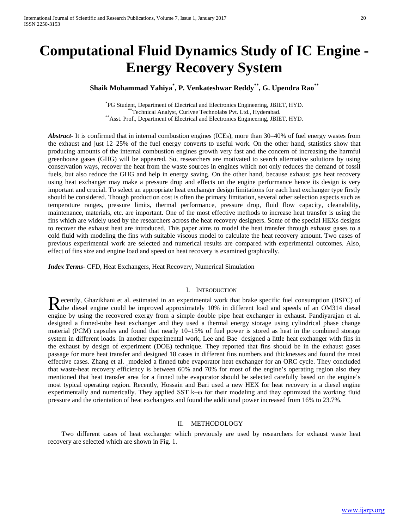# **Computational Fluid Dynamics Study of IC Engine - Energy Recovery System**

## **Shaik Mohammad Yahiya\* , P. Venkateshwar Reddy\*\*, G. Upendra Rao\*\***

<sup>\*</sup>PG Student, Department of Electrical and Electronics Engineering, JBIET, HYD. PG Student, Department of Electrical and Electronics Engineering, JBIET, HYD. \*\*Technical Analyst, Curlvee Technolabs Pvt. Ltd., Hyderabad. \*\*Asst. Prof., Department of Electrical and Electronics Engineering, JBIET, HYD.

*Abstract***-** It is confirmed that in internal combustion engines (ICEs), more than 30–40% of fuel energy wastes from the exhaust and just 12–25% of the fuel energy converts to useful work. On the other hand, statistics show that producing amounts of the internal combustion engines growth very fast and the concern of increasing the harmful greenhouse gases (GHG) will be appeared. So, researchers are motivated to search alternative solutions by using conservation ways, recover the heat from the waste sources in engines which not only reduces the demand of fossil fuels, but also reduce the GHG and help in energy saving. On the other hand, because exhaust gas heat recovery using heat exchanger may make a pressure drop and effects on the engine performance hence its design is very important and crucial. To select an appropriate heat exchanger design limitations for each heat exchanger type firstly should be considered. Though production cost is often the primary limitation, several other selection aspects such as temperature ranges, pressure limits, thermal performance, pressure drop, fluid flow capacity, cleanability, maintenance, materials, etc. are important. One of the most effective methods to increase heat transfer is using the fins which are widely used by the researchers across the heat recovery designers. Some of the special HEXs designs to recover the exhaust heat are introduced. This paper aims to model the heat transfer through exhaust gases to a cold fluid with modeling the fins with suitable viscous model to calculate the heat recovery amount. Two cases of previous experimental work are selected and numerical results are compared with experimental outcomes. Also, effect of fins size and engine load and speed on heat recovery is examined graphically.

*Index Terms*- CFD, Heat Exchangers, Heat Recovery, Numerical Simulation

## I. INTRODUCTION

ecently, Ghazikhani et al. estimated in an experimental work that brake specific fuel consumption (BSFC) of Recently, Ghazikhani et al. estimated in an experimental work that brake specific fuel consumption (BSFC) of the diesel engine could be improved approximately 10% in different load and speeds of an OM314 diesel engine by using the recovered exergy from a simple double pipe heat exchanger in exhaust. Pandiyarajan et al. designed a finned-tube heat exchanger and they used a thermal energy storage using cylindrical phase change material (PCM) capsules and found that nearly 10–15% of fuel power is stored as heat in the combined storage system in different loads. In another experimental work, Lee and Bae designed a little heat exchanger with fins in the exhaust by design of experiment (DOE) technique. They reported that fins should be in the exhaust gases passage for more heat transfer and designed 18 cases in different fins numbers and thicknesses and found the most effective cases. Zhang et al. modeled a finned tube evaporator heat exchanger for an ORC cycle. They concluded that waste-heat recovery efficiency is between 60% and 70% for most of the engine's operating region also they mentioned that heat transfer area for a finned tube evaporator should be selected carefully based on the engine's most typical operating region. Recently, Hossain and Bari used a new HEX for heat recovery in a diesel engine experimentally and numerically. They applied SST k–ω for their modeling and they optimized the working fluid pressure and the orientation of heat exchangers and found the additional power increased from 16% to 23.7%.

## II. METHODOLOGY

 Two different cases of heat exchanger which previously are used by researchers for exhaust waste heat recovery are selected which are shown in Fig. 1.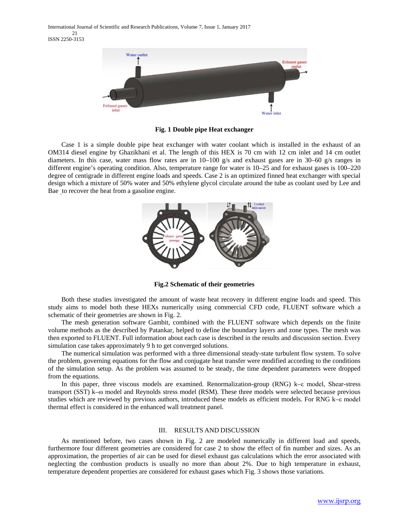

**Fig. 1 Double pipe Heat exchanger**

 Case 1 is a simple double pipe heat exchanger with water coolant which is installed in the exhaust of an OM314 diesel engine by Ghazikhani et al. The length of this HEX is 70 cm with 12 cm inlet and 14 cm outlet diameters. In this case, water mass flow rates are in 10–100 g/s and exhaust gases are in 30–60 g/s ranges in different engine's operating condition. Also, temperature range for water is 10–25 and for exhaust gases is 100–220 degree of centigrade in different engine loads and speeds. Case 2 is an optimized finned heat exchanger with special design which a mixture of 50% water and 50% ethylene glycol circulate around the tube as coolant used by Lee and Bae to recover the heat from a gasoline engine.



**Fig.2 Schematic of their geometries**

 Both these studies investigated the amount of waste heat recovery in different engine loads and speed. This study aims to model both these HEXs numerically using commercial CFD code, FLUENT software which a schematic of their geometries are shown in Fig. 2.

 The mesh generation software Gambit, combined with the FLUENT software which depends on the finite volume methods as the described by Patankar, helped to define the boundary layers and zone types. The mesh was then exported to FLUENT. Full information about each case is described in the results and discussion section. Every simulation case takes approximately 9 h to get converged solutions.

 The numerical simulation was performed with a three dimensional steady-state turbulent flow system. To solve the problem, governing equations for the flow and conjugate heat transfer were modified according to the conditions of the simulation setup. As the problem was assumed to be steady, the time dependent parameters were dropped from the equations.

 In this paper, three viscous models are examined. Renormalization-group (RNG) k–ε model, Shear-stress transport (SST) k–ω model and Reynolds stress model (RSM). These three models were selected because previous studies which are reviewed by previous authors, introduced these models as efficient models. For RNG k–ε model thermal effect is considered in the enhanced wall treatment panel.

## III. RESULTS AND DISCUSSION

 As mentioned before, two cases shown in Fig. 2 are modeled numerically in different load and speeds, furthermore four different geometries are considered for case 2 to show the effect of fin number and sizes. As an approximation, the properties of air can be used for diesel exhaust gas calculations which the error associated with neglecting the combustion products is usually no more than about 2%. Due to high temperature in exhaust, temperature dependent properties are considered for exhaust gases which Fig. 3 shows those variations.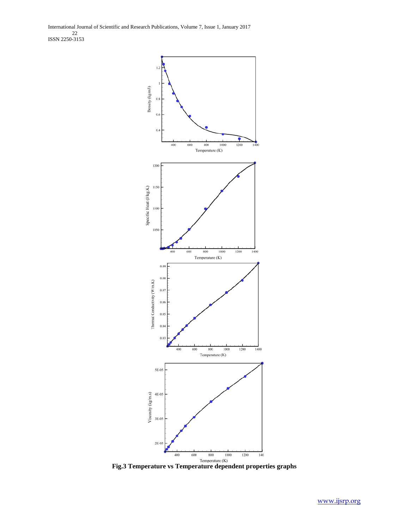International Journal of Scientific and Research Publications, Volume 7, Issue 1, January 2017 22 ISSN 2250-3153



**Fig.3 Temperature vs Temperature dependent properties graphs**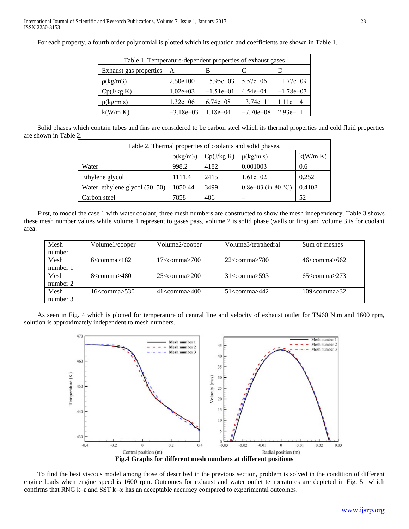For each property, a fourth order polynomial is plotted which its equation and coefficients are shown in Table 1.

| Table 1. Temperature-dependent properties of exhaust gases |              |              |               |             |  |  |
|------------------------------------------------------------|--------------|--------------|---------------|-------------|--|--|
| Exhaust gas properties                                     | A            | B            |               | D           |  |  |
| $\rho(\text{kg/m3})$                                       | $2.50e+00$   | $-5.95e-03$  | $5.57e - 06$  | $-1.77e-09$ |  |  |
| Cp(J/kg K)                                                 | $1.02e + 03$ | $-1.51e-01$  | $4.54e - 04$  | $-1.78e-07$ |  |  |
| $\mu(kg/m s)$                                              | $1.32e - 06$ | $6.74e - 08$ | $-3.74e-11$   | $1.11e-14$  |  |  |
| k(W/m K)                                                   | $-3.18e-03$  | $1.18e - 04$ | $-7.70e - 08$ | $2.93e-11$  |  |  |

 Solid phases which contain tubes and fins are considered to be carbon steel which its thermal properties and cold fluid properties are shown in Table 2.

|                                 |                      |            | Table 2. Thermal properties of coolants and solid phases. |          |
|---------------------------------|----------------------|------------|-----------------------------------------------------------|----------|
|                                 | $\rho(\text{kg/m3})$ | Cp(J/kg K) | $\mu(kg/m s)$                                             | k(W/m K) |
| Water                           | 998.2                | 4182       | 0.001003                                                  | 0.6      |
| Ethylene glycol                 | 1111.4               | 2415       | $1.61e-02$                                                | 0.252    |
| Water-ethylene glycol $(50-50)$ | 1050.44              | 3499       | 0.8e-03 (in 80 °C)                                        | 0.4108   |
| Carbon steel                    | 7858                 | 486        |                                                           | 52       |

 First, to model the case 1 with water coolant, three mesh numbers are constructed to show the mesh independency. Table 3 shows these mesh number values while volume 1 represent to gases pass, volume 2 is solid phase (walls or fins) and volume 3 is for coolant area.

| Mesh     | Volume1/cooper          | Volume2/cooper             | Volume3/tetrahedral      | Sum of meshes              |
|----------|-------------------------|----------------------------|--------------------------|----------------------------|
| number   |                         |                            |                          |                            |
| Mesh     | $6 < \text{comm} > 182$ | $17 < \mathrm{comm}$ 2700  | $22$ comma $> 780$       | $46<$ comma>662            |
| number 1 |                         |                            |                          |                            |
| Mesh     | $8 <$ comma $> 480$     | $25$ comma $>200$          | $31 < \text{comm} > 593$ | $65<$ comma $>$ 273        |
| number 2 |                         |                            |                          |                            |
| Mesh     | 16 <comma>530</comma>   | $41 < \mathrm{comm} > 400$ | $51 <$ comma $>442$      | $109 < \mathrm{comm}$ $32$ |
| number 3 |                         |                            |                          |                            |

 As seen in Fig. 4 which is plotted for temperature of central line and velocity of exhaust outlet for T¼60 N.m and 1600 rpm, solution is approximately independent to mesh numbers.



 To find the best viscous model among those of described in the previous section, problem is solved in the condition of different engine loads when engine speed is 1600 rpm. Outcomes for exhaust and water outlet temperatures are depicted in Fig. 5 which confirms that RNG k–ε and SST k–ω has an acceptable accuracy compared to experimental outcomes.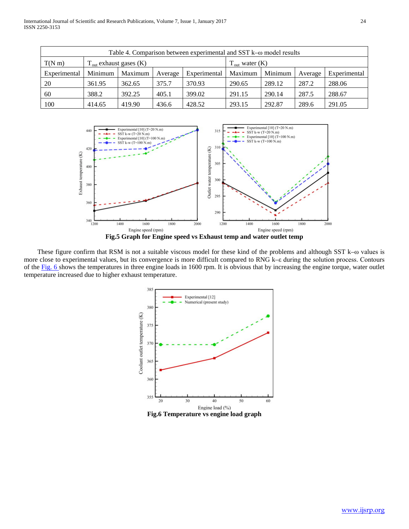| Table 4. Comparison between experimental and SST $k-\omega$ model results                  |         |         |         |              |         |         |         |              |
|--------------------------------------------------------------------------------------------|---------|---------|---------|--------------|---------|---------|---------|--------------|
| $T(N \, \text{m})$<br>$T_{\text{out}}$ exhaust gases $(K)$<br>$T_{\text{out}}$ water $(K)$ |         |         |         |              |         |         |         |              |
| Experimental                                                                               | Minimum | Maximum | Average | Experimental | Maximum | Minimum | Average | Experimental |
| 20                                                                                         | 361.95  | 362.65  | 375.7   | 370.93       | 290.65  | 289.12  | 287.2   | 288.06       |
| 60                                                                                         | 388.2   | 392.25  | 405.1   | 399.02       | 291.15  | 290.14  | 287.5   | 288.67       |
| 100                                                                                        | 414.65  | 419.90  | 436.6   | 428.52       | 293.15  | 292.87  | 289.6   | 291.05       |



 These figure confirm that RSM is not a suitable viscous model for these kind of the problems and although SST k–ω values is more close to experimental values, but its convergence is more difficult compared to RNG k–ε during the solution process. Contours of the Fig. 6 shows the temperatures in three engine loads in 1600 rpm. It is obvious that by increasing the engine torque, water outlet temperature increased due to higher exhaust temperature.

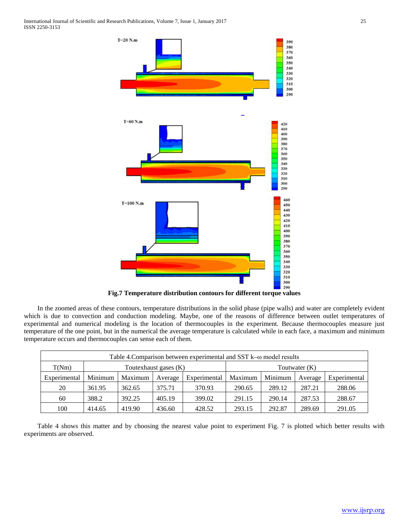International Journal of Scientific and Research Publications, Volume 7, Issue 1, January 2017 25 ISSN 2250-3153



 In the zoomed areas of these contours, temperature distributions in the solid phase (pipe walls) and water are completely evident which is due to convection and conduction modeling. Maybe, one of the reasons of difference between outlet temperatures of experimental and numerical modeling is the location of thermocouples in the experiment. Because thermocouples measure just temperature of the one point, but in the numerical the average temperature is calculated while in each face, a maximum and minimum temperature occurs and thermocouples can sense each of them.

| Table 4. Comparison between experimental and SST $k-\omega$ model results |         |         |         |              |         |         |         |              |
|---------------------------------------------------------------------------|---------|---------|---------|--------------|---------|---------|---------|--------------|
| T(Nm)<br>Toutexhaust gases (K)<br>Toutwater $(K)$                         |         |         |         |              |         |         |         |              |
| Experimental                                                              | Minimum | Maximum | Average | Experimental | Maximum | Minimum | Average | Experimental |
| 20                                                                        | 361.95  | 362.65  | 375.71  | 370.93       | 290.65  | 289.12  | 287.21  | 288.06       |
| 60                                                                        | 388.2   | 392.25  | 405.19  | 399.02       | 291.15  | 290.14  | 287.53  | 288.67       |
| 100                                                                       | 414.65  | 419.90  | 436.60  | 428.52       | 293.15  | 292.87  | 289.69  | 291.05       |

 Table 4 shows this matter and by choosing the nearest value point to experiment Fig. 7 is plotted which better results with experiments are observed.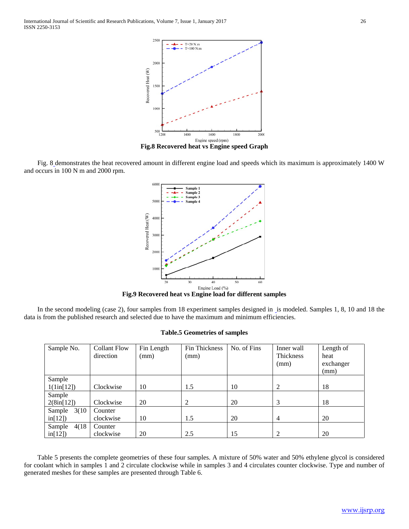International Journal of Scientific and Research Publications, Volume 7, Issue 1, January 2017 26 ISSN 2250-3153



 Fig. 8 demonstrates the heat recovered amount in different engine load and speeds which its maximum is approximately 1400 W and occurs in 100 N m and 2000 rpm.



**Fig.9 Recovered heat vs Engine load for different samples**

In the second modeling (case 2), four samples from 18 experiment samples designed in is modeled. Samples 1, 8, 10 and 18 the data is from the published research and selected due to have the maximum and minimum efficiencies.

### **Table.5 Geometries of samples**

| Sample No.          | <b>Collant Flow</b> | Fin Length | Fin Thickness | No. of Fins | Inner wall     | Length of |
|---------------------|---------------------|------------|---------------|-------------|----------------|-----------|
|                     | direction           | (mm)       | (mm)          |             | Thickness      | heat      |
|                     |                     |            |               |             | (mm)           | exchanger |
|                     |                     |            |               |             |                | (mm)      |
| Sample              |                     |            |               |             |                |           |
| $1(1\text{in}[12])$ | Clockwise           | 10         | 1.5           | 10          | 2              | 18        |
| Sample              |                     |            |               |             |                |           |
| 2(8in[12])          | Clockwise           | 20         | 2             | 20          | 3              | 18        |
| 3(10)<br>Sample     | Counter             |            |               |             |                |           |
| in[12]              | clockwise           | 10         | 1.5           | 20          | $\overline{4}$ | 20        |
| Sample<br>4(18)     | Counter             |            |               |             |                |           |
| in[12]              | clockwise           | 20         | 2.5           | 15          |                | 20        |

 Table 5 presents the complete geometries of these four samples. A mixture of 50% water and 50% ethylene glycol is considered for coolant which in samples 1 and 2 circulate clockwise while in samples 3 and 4 circulates counter clockwise. Type and number of generated meshes for these samples are presented through Table 6.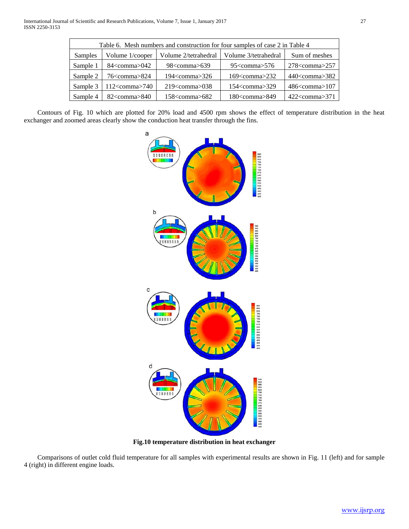| Table 6. Mesh numbers and construction for four samples of case 2 in Table 4 |                     |                      |                        |                                        |  |  |
|------------------------------------------------------------------------------|---------------------|----------------------|------------------------|----------------------------------------|--|--|
| Samples                                                                      | Volume 1/cooper     | Volume 2/tetrahedral | Volume 3/tetrahedral   | Sum of meshes                          |  |  |
| Sample 1                                                                     | $84$ < comma > 042  | $98<$ comma $>639$   | $95<$ comma $>576$     | $278<$ comma $>257$                    |  |  |
| Sample 2                                                                     | $76$ < comma $>824$ | $194<$ comma $>326$  | $169<$ comma $>232$    | $440<$ comma $>382$                    |  |  |
| Sample 3                                                                     | $112$ < comma > 740 | $219<$ comma $>038$  | 154 <comma>329</comma> | $486<$ comma $>107$                    |  |  |
| Sample 4                                                                     | $82$ < comma $>840$ | $158<$ comma $>682$  | 180 <comma>849</comma> | $422$ <comma<math>&gt;371</comma<math> |  |  |

 Contours of Fig. 10 which are plotted for 20% load and 4500 rpm shows the effect of temperature distribution in the heat exchanger and zoomed areas clearly show the conduction heat transfer through the fins.



**Fig.10 temperature distribution in heat exchanger**

 Comparisons of outlet cold fluid temperature for all samples with experimental results are shown in Fig. 11 (left) and for sample 4 (right) in different engine loads.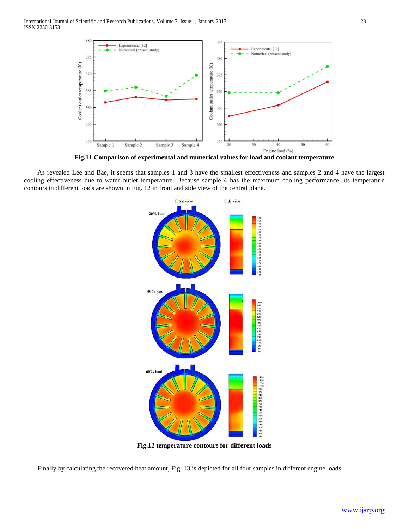

**Fig.11 Comparison of experimental and numerical values for load and coolant temperature**

 As revealed Lee and Bae, it seems that samples 1 and 3 have the smallest effectiveness and samples 2 and 4 have the largest cooling effectiveness due to water outlet temperature. Because sample 4 has the maximum cooling performance, its temperature contours in different loads are shown in Fig. 12 in front and side view of the central plane.



**Fig.12 temperature contours for different loads**

Finally by calculating the recovered heat amount, Fig. 13 is depicted for all four samples in different engine loads.